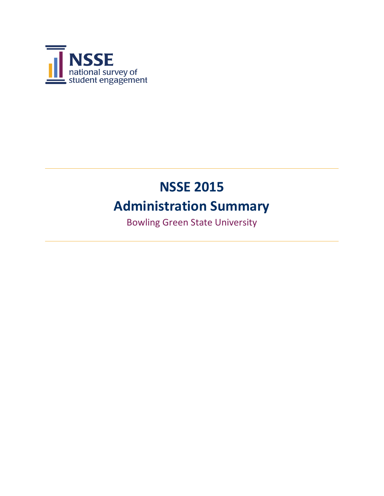

# **NSSE 2015**

## **Administration Summary**

Bowling Green State University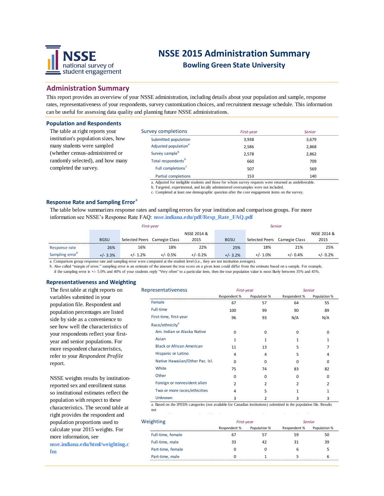

### **NSSE 2015 Administration Summary**

**Bowling Green State University**

#### **Administration Summary**

This report provides an overview of your NSSE administration, including details about your population and sample, response rates, representativeness of your respondents, survey customization choices, and recruitment message schedule. This information can be useful for assessing data quality and planning future NSSE administrations.

#### **Population and Respondents**

The table at right reports your institution's population sizes, how many students were sampled (whether census-administered or randomly selected), and how many completed the survey.

| Survey completions               | First-year | Senior |
|----------------------------------|------------|--------|
| Submitted population             | 3.938      | 3,679  |
| Adjusted population <sup>a</sup> | 2.586      | 2,868  |
| Survey sample <sup>b</sup>       | 2.578      | 2.862  |
| Total respondents <sup>b</sup>   | 660        | 709    |
| Full completions <sup>c</sup>    | 507        | 569    |
| Partial completions              | 153        | 140    |
|                                  |            |        |

a. Adjusted for ineligible students and those for whom survey requests were returned as undeliverable.

b. Targeted, experimental, and locally administered oversamples were not included.

c. Completed at least one demographic question after the core engagement items on the survey.

#### **Response Rate and Sampling Error**<sup>a</sup>

The table below summarizes response rates and sampling errors for your institution and comparison groups. For more information see NSSE's Response Rate FAQ: **nsse.indiana.edu/pdf/Resp\_Rate\_FAQ.pdf**

|                             |             | First-year     |                |             |             |                | <b>Senior</b>  |             |
|-----------------------------|-------------|----------------|----------------|-------------|-------------|----------------|----------------|-------------|
|                             |             |                |                | NSSE 2014 & |             |                |                | NSSE 2014 & |
|                             | <b>BGSU</b> | Selected Peers | Carnegie Class | 2015        | <b>BGSU</b> | Selected Peers | Carnegie Class | 2015        |
| Response rate               | 26%         | 16%            | 18%            | 22%         | 25%         | 18%            | 21%            | 25%         |
| Sampling error <sup>b</sup> | $+/- 3.3%$  | $+/- 1.2%$     | $+/- 0.5%$     | $+/- 0.2%$  | $+/- 3.2%$  | $+/- 1.0\%$    | $+/- 0.4%$     | -/- 0.2%    |

a. Comparison group response rate and sampling error were computed at the student level (i.e., they are not institution averages).

b. Also called "margin of error," sampling error is an estimate of the amount the true score on a given item could differ from the estimate based on a sample. For example, if the sampling error is +/- 5.0% and 40% of your students reply "Very often" to a particular item, then the true population value is most likely between 35% and 45%.

#### **Representativeness and Weighting**

The first table at right reports on variables submitted in your population file. Respondent and population percentages are listed side by side as a convenience to see how well the characteristics of your respondents reflect your firstyear and senior populations. For more respondent characteristics, refer to your *Respondent Profile*  report.

NSSE weights results by institutionreported sex and enrollment status so institutional estimates reflect the population with respect to these characteristics. The second table at right provides the respondent and population proportions used to calculate your 2015 weights. For more information, see **nsse.indiana.edu/html/weighting.c fm**

| Representativeness               | First-year     |                |              | <b>Senior</b>  |
|----------------------------------|----------------|----------------|--------------|----------------|
|                                  | Respondent %   | Population %   | Respondent % | Population %   |
| Female                           | 67             | 57             | 64           | 55             |
| Full-time                        | 100            | 99             | 90           | 89             |
| First-time, first-year           | 96             | 93             | N/A          | N/A            |
| Race/ethnicity <sup>a</sup>      |                |                |              |                |
| Am. Indian or Alaska Native      | $\Omega$       | $\Omega$       | 0            | $\mathbf 0$    |
| Asian                            | 1              |                |              | 1              |
| <b>Black or African American</b> | 11             | 13             | 5            | 7              |
| <b>Hispanic or Latino</b>        | 4              | 4              | 5            | 4              |
| Native Hawaiian/Other Pac. Isl.  | $\Omega$       | $\Omega$       | n            | 0              |
| White                            | 75             | 74             | 83           | 82             |
| Other                            | $\Omega$       | $\Omega$       | <sup>0</sup> | 0              |
| Foreign or nonresident alien     | $\overline{2}$ | $\overline{2}$ | 2            | $\overline{2}$ |
| Two or more races/ethicities     | 4              | 5              |              | $\mathbf{1}$   |
| <b>Unknown</b>                   | 3              | 2              | 3            | 3              |

a. Based on the IPEDS categories (not available for Canadian institutions) submitted in the population file. Results not

| Weighting         | First-year   |              |              | Senior       |
|-------------------|--------------|--------------|--------------|--------------|
|                   | Respondent % | Population % | Respondent % | Population % |
| Full-time, female |              |              | 59           | 50           |
| Full-time, male   | 33           | 47           | 31           | 39           |
| Part-time, female |              |              |              |              |
| Part-time, male   |              |              |              |              |